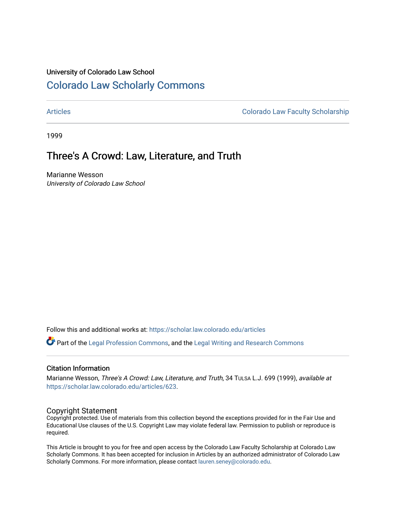## University of Colorado Law School [Colorado Law Scholarly Commons](https://scholar.law.colorado.edu/)

[Articles](https://scholar.law.colorado.edu/articles) **Colorado Law Faculty Scholarship** 

1999

## Three's A Crowd: Law, Literature, and Truth

Marianne Wesson University of Colorado Law School

Follow this and additional works at: [https://scholar.law.colorado.edu/articles](https://scholar.law.colorado.edu/articles?utm_source=scholar.law.colorado.edu%2Farticles%2F623&utm_medium=PDF&utm_campaign=PDFCoverPages) 

Part of the [Legal Profession Commons](http://network.bepress.com/hgg/discipline/1075?utm_source=scholar.law.colorado.edu%2Farticles%2F623&utm_medium=PDF&utm_campaign=PDFCoverPages), and the [Legal Writing and Research Commons](http://network.bepress.com/hgg/discipline/614?utm_source=scholar.law.colorado.edu%2Farticles%2F623&utm_medium=PDF&utm_campaign=PDFCoverPages) 

## Citation Information

Marianne Wesson, Three's A Crowd: Law, Literature, and Truth, 34 TULSA L.J. 699 (1999), available at [https://scholar.law.colorado.edu/articles/623.](https://scholar.law.colorado.edu/articles/623?utm_source=scholar.law.colorado.edu%2Farticles%2F623&utm_medium=PDF&utm_campaign=PDFCoverPages)

## Copyright Statement

Copyright protected. Use of materials from this collection beyond the exceptions provided for in the Fair Use and Educational Use clauses of the U.S. Copyright Law may violate federal law. Permission to publish or reproduce is required.

This Article is brought to you for free and open access by the Colorado Law Faculty Scholarship at Colorado Law Scholarly Commons. It has been accepted for inclusion in Articles by an authorized administrator of Colorado Law Scholarly Commons. For more information, please contact [lauren.seney@colorado.edu.](mailto:lauren.seney@colorado.edu)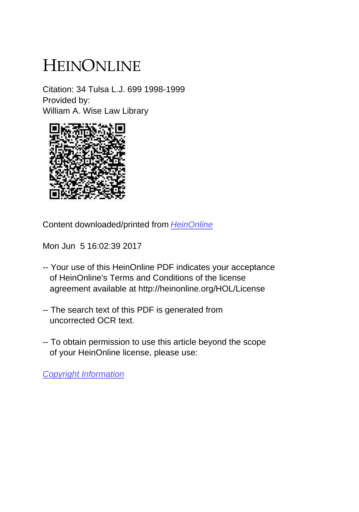# HEINONLINE

Citation: 34 Tulsa L.J. 699 1998-1999 Provided by: William A. Wise Law Library



Content downloaded/printed from [HeinOnline](http://heinonline.org/HOL/Page?handle=hein.journals/tlj34&collection=journals&id=721&startid=&endid=734)

Mon Jun 5 16:02:39 2017

- -- Your use of this HeinOnline PDF indicates your acceptance of HeinOnline's Terms and Conditions of the license agreement available at http://heinonline.org/HOL/License
- -- The search text of this PDF is generated from uncorrected OCR text.
- -- To obtain permission to use this article beyond the scope of your HeinOnline license, please use:

[Copyright Information](https://www.copyright.com/ccc/basicSearch.do?operation=go&searchType=0&lastSearch=simple&all=on&titleOrStdNo=0064-4050)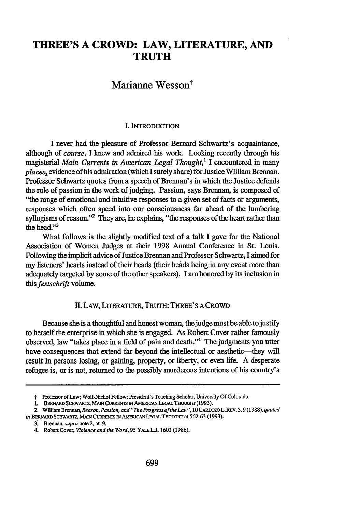## **THREE'S A CROWD: LAW, LITERATURE, AND TRUTH**

## Marianne Wesson<sup>†</sup>

## I. **INTRODUCTION**

I never had the pleasure of Professor Bernard Schwartz's acquaintance, although of *course,* I knew and admired his work. Looking recently through his magisterial *Main Currents in American Legal Thought*,<sup>1</sup> I encountered in many *places*, evidence of his admiration (which I surely share) for Justice William Brennan. Professor Schwartz quotes from a speech of Brennan's in which the Justice defends the role of passion in the work of judging. Passion, says Brennan, is composed of "the range of emotional and intuitive responses to a given set of facts or arguments, responses which often speed into our consciousness far ahead of the lumbering syllogisms of reason."2 They are, he explains, "the responses of the heart rather than the head."<sup>3</sup>

What follows is the slightly modified text of a talk I gave for the National Association of Women Judges at their 1998 Annual Conference in St. Louis. Following the implicit advice of Justice Brennan and Professor Schwartz, I aimed for my listeners' hearts instead of their heads (their heads being in any event more than adequately targeted by some of the other speakers). I am honored by its inclusion in *this festschrift* volume.

#### **II.** LAW, LITERATURE, **TRuTH:** THREE'S **A** CROWD

Because she is a thoughtful and honest woman, the judge must be able to justify to herself the enterprise in which she is engaged. As Robert Cover rather famously observed, law "takes place in a field of pain and death."<sup>4</sup> The judgments you utter have consequences that extend far beyond the intellectual or aesthetic-they will result in persons losing, or gaining, property, or liberty, or even life. A desperate refugee is, or is not, returned to the possibly murderous intentions of his country's

t Professor of Law; Wolf-Nichol Fellow; President's Teaching Scholar, University Of Colorado.

<sup>1.</sup> BERNARD SCHWARTZ, MAIN CURRENTS IN AMERICAN LEGAL THOUGHT (1993).

<sup>2.</sup> *William Brennan, Reason, Passion, and "The Progress of the Law",* 10 CARDoZO L.REV. **3,9** (1988), *quoted in BERNARD SCHWARTZ, MAIN CURRENTS IN AMERICAN LEGAL THOUGHT at 562-63 (1993).* 

<sup>3.</sup> *Brennan, supra* note 2, at 9.

<sup>4.</sup> Robert Cover, *Violence and the Word,* 95 YALELJ. 1601 (1986).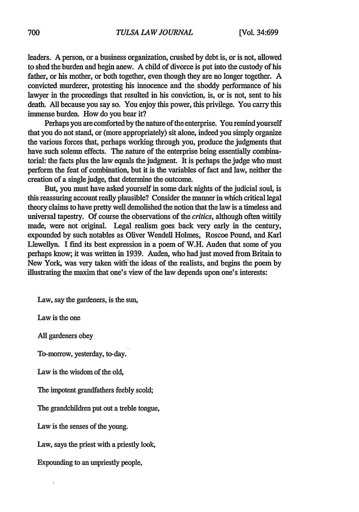leaders. A person, or a business organization, crushed by debt is, or is not, allowed to shed the burden and begin anew. A child of divorce is put into the custody of his father, or his mother, or both together, even though they are no longer together. A convicted murderer, protesting his innocence and the shoddy performance of his lawyer in the proceedings that resulted in his conviction, is, or is not, sent to his death. All because you say so. You enjoy this power, this privilege. You carry this immense burden. How do you bear it?

Perhaps you are comforted by the nature of the enterprise. You remind yourself that you do not stand, or (more appropriately) sit alone, indeed you simply organize the various forces that, perhaps working through you, produce the judgments that have such solemn effects. The nature of the enterprise being essentially combinatorial: the facts plus the law equals the judgment. It is perhaps the judge who must perform the feat of combination, but it is the variables of fact and law, neither the creation of a single judge, that determine the outcome.

But, you must have asked yourself in some dark nights of the judicial soul, is this reassuring account really plausible? Consider the manner in which critical legal theory claims to have pretty well demolished the notion that the law is a timeless and universal tapestry. Of course the observations of the *critics*, although often wittily made, were not original. Legal realism goes back very early in the century, expounded by such notables as Oliver Wendell Holmes, Roscoe Pound, and Karl Llewellyn. I find its best expression in a poem of W.H. Auden that some of you perhaps know; it was written in 1939. Auden, who had just moved from Britain to New York, was very taken with the ideas of the realists, and begins the poem by illustrating the maxim that one's view of the law depends upon one's interests:

Law, say the gardeners, is the sun,

Law is the one

l.

All gardeners obey

To-morrow, yesterday, to-day.

Law is the wisdom of the old,

The impotent grandfathers feebly scold;

The grandchildren put out a treble tongue,

Law is the senses of the young.

Law, says the priest with a priestly look,

Expounding to an unpriestly people,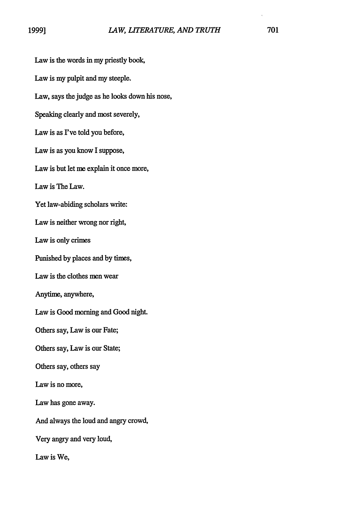Law is the words in my priestly book, Law is my pulpit and my steeple. Law, says the judge as he looks down his nose, Speaking clearly and most severely, Law is as I've told you before, Law is as you know I suppose, Law is but let me explain it once more, Law is The Law. Yet law-abiding scholars write: Law is neither wrong nor right, Law is only crimes Punished **by** places and **by** times, Law is the clothes men wear Anytime, anywhere, Law is Good morning and Good night Others say, Law is our Fate; Others say, Law is our State; Others say, others say Law is no more, Law has gone away. And always the loud and angry crowd, Very angry and very loud, Law is We,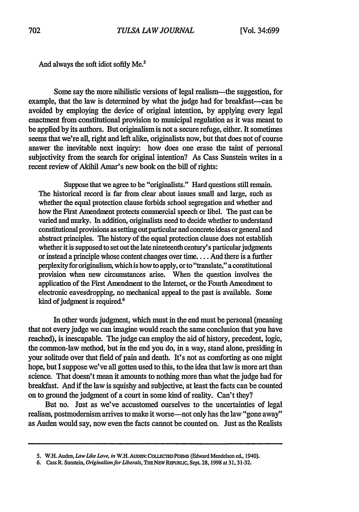And always the soft idiot softly Me.'

Some say the more nihilistic versions of legal realism-the suggestion, for example, that the law is determined by what the judge had for breakfast-can be avoided by employing the device of original intention, by applying every legal enactment from constitutional provision to municipal regulation as it was meant to be applied by its authors. But originalism is not a secure refuge, either. It sometimes seems that we're all, right and left alike, originalists now, but that does not of course answer the inevitable next inquiry: how does one erase the taint of personal subjectivity from the search for original intention? As Cass Sunstein writes in a recent review of Akihil Amar's new book on the bill of rights:

Suppose that we agree to be "originalists." Hard questions still remain. The historical record is far from clear about issues small and large, such as whether the equal protection clause forbids school segregation and whether and how the First Amendment protects commercial speech or libel. The past can be varied and murky. In addition, originalists need to decide whether to understand constitutional provisions as setting out particular and concrete ideas or general and abstract principles. The history of the equal protection clause does not establish whether it is supposed to set out the late nineteenth century's particular judgments or instead a principle whose content changes over time.... And there is a further perplexity for originalism, which is how to apply, or to "translate," a constitutional provision when new circumstances arise. When the question involves the application of the First Amendment to the Internet, or the Fourth Amendment to electronic eavesdropping, no mechanical appeal to the past is available. Some kind of judgment is required.<sup>6</sup>

In other words judgment, which must in the end must be personal (meaning that not every judge we can imagine would reach the same conclusion that you have reached), is inescapable. The judge can employ the aid of history, precedent, logic, the common-law method, but in the end you do, in a way, stand alone, presiding in your solitude over that field of pain and death. It's not as comforting as one might hope, but I suppose we've all gotten used to this, to the idea that law is more art than science. That doesn't mean it amounts to nothing more than what the judge had for breakfast. And if the law is squishy and subjective, at least the facts can be counted on to ground the judgment of a court in some kind of reality. Can't they?

But no. Just as we've accustomed ourselves to the uncertainties of legal realism, postmodernism arrives to make it worse—not only has the law "gone away" as Auden would say, now even the facts cannot be counted on. Just as the Realists

<sup>5.</sup> W.H. Auden, *Law Like Love*, *in* W.H. AUDEN: COLLECTED POEMS (Edward Mendelson ed., 1940).

**<sup>6.</sup>** Cass R. Sunstein, *Originalismfor Liberals,* **THE NEv Rauc,** Sept. **28, 1998** at **31, 31-32.**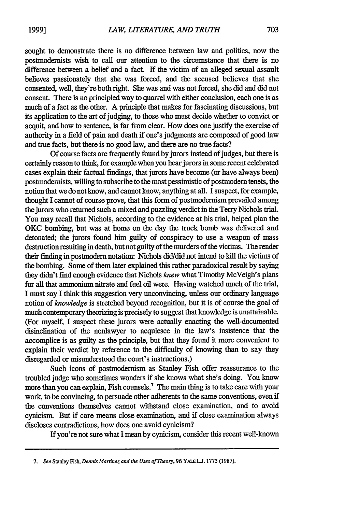sought to demonstrate there is no difference between law and politics, now the postmodernists wish to call our attention to the circumstance that there is no difference between a belief and a fact. If the victim of an alleged sexual assault believes passionately that she was forced, and the accused believes that she consented, well, they're both right. She was and was not forced, she did and did not consent. There is no principled way to quarrel with either conclusion, each one is as much of a fact as the other. A principle that makes for fascinating discussions, but its application to the art of judging, to those who must decide whether to convict or acquit, and how to sentence, is far from clear. How does one justify the exercise of authority in a field of pain and death if one's judgments are composed of good law and true facts, but there is no good law, and there are no true facts?

Of course facts are frequently found by jurors instead of judges, but there is certainly reason to think, for example when you hear jurors in some recent celebrated cases explain their factual findings, that jurors have become (or have always been) postmodernists, willing to subscribe to the most pessimistic of postmodern tenets, the notion that we do not know, and cannot know, anything at all. I suspect, for example, thought I cannot of course prove, that this form of postmodernism prevailed among the jurors who returned such a mixed and puzzling verdict in the Terry Nichols trial. You may recall that Nichols, according to the evidence at his trial, helped plan the OKC bombing, but was at home on the day the truck bomb was delivered and detonated; the jurors found him guilty of conspiracy to use a weapon of mass destruction resulting in death, but not guilty of the murders of the victims. The render their finding in postmodern notation: Nichols did/did not intend to kill the victims of the bombing. Some of them later explained this rather paradoxical result by saying they didn't find enough evidence that Nichols *knew* what Timothy McVeigh's plans for all that ammonium nitrate and fuel oil were. Having watched much of the trial, I must say I think this suggestion very unconvincing, unless our ordinary language notion of *knowledge* is stretched beyond recognition, but it is of course the goal of much contemporary theorizing is precisely to suggest that knowledge is unattainable. (For myself, I suspect these jurors were actually enacting the well-documented disinclination of the nonlawyer to acquiesce in the law's insistence that the accomplice is as guilty as the principle, but that they found it more convenient to explain their verdict by reference to the difficulty of knowing than to say they disregarded or misunderstood the court's instructions.)

Such icons of postmodernism as Stanley Fish offer reassurance to the troubled judge who sometimes wonders if she knows what she's doing. You know more than you can explain, Fish counsels.7 The main thing is to take care with your work, to be convincing, to persuade other adherents to the same conventions, even if the conventions themselves cannot withstand close examination, and to avoid cynicism. But if care means close examination, and if close examination always discloses contradictions, how does one avoid cynicism?

If you're not sure what I mean by cynicism, consider this recent well-known

*<sup>7.</sup> See* Stanley Fish, *Dennis Martinez and the Uses of Theory,* **96** YALE **LJ. 1773 (1987).**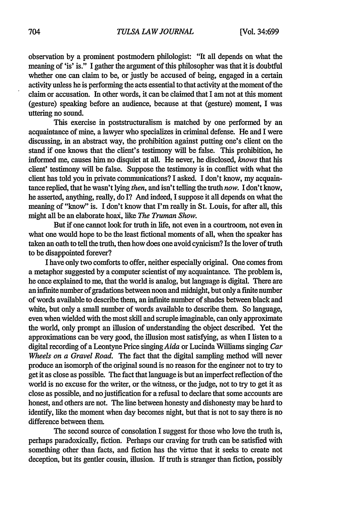observation by a prominent postmodern philologist: "It all depends on what the meaning of 'is' is." I gather the argument of this philosopher was that it is doubtful whether one can claim to be, or justly be accused of being, engaged in a certain activity unless he is performing the acts essential to that activity at the moment of the claim or accusation. In other words, it can be claimed that I am not at this moment (gesture) speaking before an audience, because at that (gesture) moment, I was uttering no sound.

This exercise in poststructuralism is matched by one performed by an acquaintance of mine, a lawyer who specializes in criminal defense. He and I were discussing, in an abstract way, the prohibition against putting one's client on the stand if one knows that the client's testimony will be false. This prohibition, he informed me, causes him no disquiet at all. He never, he disclosed, knows that his client' testimony will be false. Suppose the testimony is in conflict with what the client has told you in private communications? I asked. I don't know, my acquaintance replied, that he wasn't lying *then,* and isn't telling the truth *now.* I don't know, he asserted, anything, really, do I? And indeed, I suppose it all depends on what the meaning of "know" is. I don't know that I'm really in St. Louis, for after all, this might all be an elaborate hoax, like *The Truman Show.*

But if one cannot look for truth in life, not even in a courtroom, not even in what one would hope to be the least fictional moments of all, when the speaker has taken an oath to tell the truth, then how does one avoid cynicism? Is the lover of truth to be disappointed forever?

I have only two comforts to offer, neither especially original. One comes from a metaphor suggested by a computer scientist of my acquaintance. The problem is, he once explained to me, that the world is analog, but language is digital. There are an infinite number of gradations between noon and midnight, but only a finite number of words available to describe them, an infinite number of shades between black and white, but only a small number of words available to describe them. So language, even when wielded with the most skill and scruple imaginable, can only approximate the world, only prompt an illusion of understanding the object described. Yet the approximations can be very good, the illusion most satisfying, as when I listen to a digital recording of a Leontyne Price singing *Aida* or Lucinda Williams singing *Car Wheels on a Gravel Road.* The fact that the digital sampling method will never produce an isomorph of the original sound is no reason for the engineer not to try to get it as close as possible. The fact that language is but an imperfect reflection of the world is no excuse for the writer, or the witness, or the judge, not to try to get it as close as possible, and no justification for a refusal to declare that some accounts are honest, and others are not. The line between honesty and dishonesty may be hard to identify, like the moment when day becomes night, but that is not to say there is no difference between them.

The second source of consolation I suggest for those who love the truth is, perhaps paradoxically, fiction. Perhaps our craving for truth can be satisfied with something other than facts, and fiction has the virtue that it seeks to create not deception, but its gentler cousin, illusion. If truth is stranger than fiction, possibly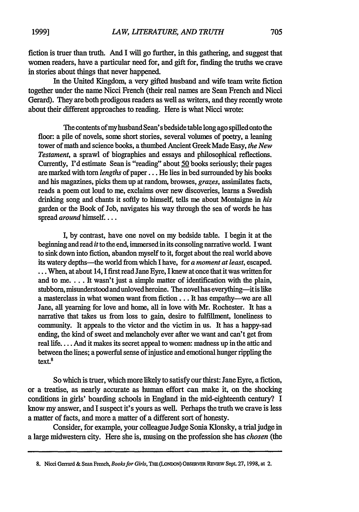fiction is truer than truth. *And* I will go further, in this gathering, and suggest that women readers, have a particular need for, and gift for, finding the truths we crave in stories about things that never happened.

In the United Kingdom, a very gifted husband and wife team write fiction together under the name Nicci French (their real names are Sean French and Nicci Gerard). They are both prodigous readers as well as writers, and they recently wrote about their different approaches to reading. Here is what Nicci wrote:

The contents of myhusband Sean's bedside table long ago spilled onto the floor: a pile of novels, some short stories, several volumes of poetry, a leaning tower of math and science books, a thumbed Ancient Greek Made Easy, *the New Testament,* a sprawl of biographies and essays and philosophical reflections. Currently, I'd estimate Sean is "reading" about 50 books seriously; their pages are marked with torn *lengths* of paper... He lies in bed surrounded by his books and his magazines, picks them up at random, browses, grazes, assimilates facts, reads a poem out loud to me, exclaims over new discoveries, learns a Swedish drinking song and chants it softly to himself, tells me about Montaigne in *his* garden or the Book of Job, navigates his way through the sea of words he has spread *around* himself...

I, by contrast, have one novel on my bedside table. I begin it at the beginning and read it to the end, immersed in its consoling narrative world. I want to sink down into fiction, abandon myself to it, forget about the real world above its watery depths-the world from which I have, for *a moment at least*, escaped. ... When, at about 14, 1 first read Jane Eyre, I knew at once that it was written for and to me. .... It wasn't just a simple matter of identification with the plain, stubborn, misunderstood and unloved heroine. The novel has everything-it is like a masterclass in what women want from fiction . . . It has empathy---we are all Jane, all yearning for love and home, all in love with Mr. Rochester. It has a narrative that takes us from loss to gain, desire to fulfillment, loneliness to community. It appeals to the victor and the victim in us. It has a happy-sad ending, the kind of sweet and melancholy ever after we want and can't get from real life.... And it makes its secret appeal to women: madness up in the attic and between the lines; a powerful sense of injustice and emotional hunger rippling the text.<sup>8</sup>

So which is truer, which more likely to satisfy our thirst: Jane Eyre, a fiction, or a treatise, as nearly accurate as human effort can make it, on the shocking conditions in girls' boarding schools in England in the mid-eighteenth century? I know my answer, and I suspect it's yours as well. Perhaps the truth we crave is less a matter of facts, and more a matter of a different sort of honesty.

Consider, for example, your colleague Judge Sonia Klonsky, a trial judge in a large midwestern city. Here she is, musing on the profession she has *chosen (the*

**<sup>8.</sup>** Nicci Gerrard & Sean French, Books for Girls, *TmE* (LONDON) **OBSERVER** REVIEW Sept. 27,1998, at 2.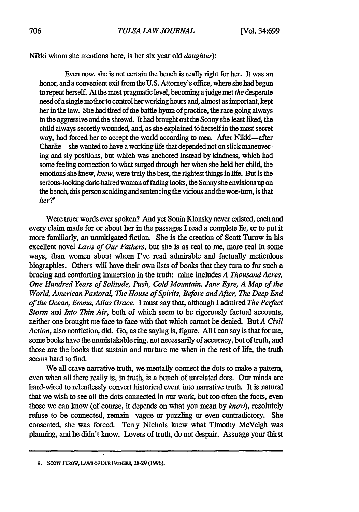**Nikki** whom she mentions here, is her six year old *daughter):*

Even now, she is not certain the bench is really right for her. It was an honor, and a convenient exit from the U.S. Attorney's office, where she had begun to repeat herself. At the most pragmatic level, becoming ajudge met *the* desperate need of a single mother to control her working hours and, almost as important, kept her in the law. She had tired of the battle hymn of practice, the race going always to the aggressive and the shrewd. It had brought out the Sonny she least liked, the child always secretly wounded, and, as she explained to herself in the most secret way, had forced her to accept the world according to men. After Nikki-after Charlie-she wanted to have a working life that depended not on slick maneuvering and sly positions, but which was anchored instead by kindness, which had some feeling connection to what surged through her when she held her child, the emotions she knew, *knew,* were truly the best, the rightest things in life. But is the serious-looking dark-haired woman of fading looks, the Sonny she envisions up on the bench, this person scolding and sentencing the vicious and the woe-torn, is that *her?*

Were truer words ever spoken? And yet Sonia Klonsky never existed, each and every claim made for or about her in the passages **I** read a complete lie, or to put it more familiarly, an unmitigated fiction. She is the creation of Scott Turow in his excellent novel *Laws of Our Fathers,* but she is as real to me, more real in some ways, than women about whom I've read admirable and factually meticulous biographies. Others will have their own lists of books that they turn to for such a bracing and comforting immersion in the truth: mine includes *A Thousand Acres, One Hundred Years of Solitude, Push, Cold Mountain, Jane Eyre, A Map of the World, American Pastoral, The House of Spirits, Before and After, The Deep End of the Ocean, Emma, Alias Grace.* **I** must say that, although I admired *The Perfect Storm and Into Thin Air,* both of which seem to be rigorously factual accounts, neither one brought me face to face with that which cannot be denied. But *A Civil Action,* also nonfiction, did. Go, as the saying is, figure. All I can say is that for me, some books have the unmistakable ring, not necessarily of accuracy, but of truth, and those are the books that sustain and nurture me when in the rest of life, the truth seems hard to find.

We all crave narrative truth, we mentally connect the dots to make a pattern, even when all there really is, in truth, is a bunch of unrelated dots. Our minds are hard-wired to relentlessly convert historical event into narrative truth. It is natural that we wish to see all the dots connected in our work, but too often the facts, even those we can know (of course, it depends on what you mean by *know),* resolutely refuse to be connected, remain vague or puzzling or even contradictory. She consented, she was forced. Terry Nichols knew what Timothy MeVeigh was planning, and he didn't know. Lovers of truth, do not despair. Assuage your thirst

**<sup>9.</sup> ScoTrTURoW, LAws** OF **OUR FATMERS,** 28-29 **(1996).**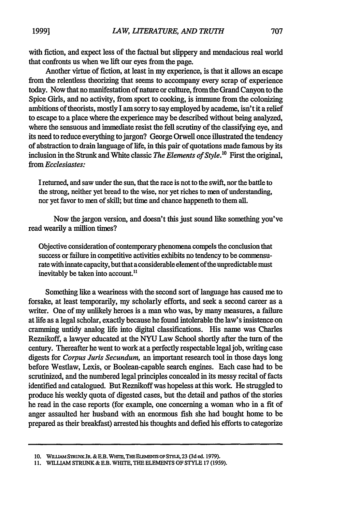with fiction, and expect less of the factual but slippery and mendacious real world that confronts us when we lift our eyes from the page.

Another virtue of fiction, at least in my experience, is that it allows an escape from the relentless theorizing that seems to accompany every scrap of experience today. Now that no manifestation of nature or culture, from the Grand Canyon to the Spice Girls, and no activity, from sport to cooking, is immune from the colonizing ambitions of theorists, mostly I am sorry to say employed by academe, isn't it a relief to escape to a place where the experience may be described without being analyzed, where the sensuous and immediate resist the fell scrutiny of the classifying eye, and its need to reduce everything to jargon? George Orwell once illustrated the tendency of abstraction to drain language of life, in this pair of quotations made famous by its inclusion in the Strunk and White classic *The Elements of Style*.<sup>10</sup> First the original, from *Ecclesiastes:*

I returned, and saw under the sun, that the race is not to the swift, nor the battle to the strong, neither yet bread to the wise, nor yet riches to men of understanding, nor yet favor to men of skill; but time and chance happeneth to them all.

Now the jargon version, and doesn't this just sound like something you've read wearily a million times?

Objective consideration of contemporary phenomena compels the conclusion that success or failure in competitive activities exhibits no tendency to be commensurate with innate capacity, but that a considerable element of the unpredictable must inevitably be taken into account.<sup>11</sup>

Something like a weariness with the second sort of language has caused me to forsake, at least temporarily, my scholarly efforts, and seek a second career as a writer. One of my unlikely heroes is a man who was, by many measures, a failure at life as a legal scholar, exactly because he found intolerable the law's insistence on cramming untidy analog life into digital classifications. His name was Charles Reznikoff, a lawyer educated at the NYU Law School shortly after the turn of the century. Thereafter he went to work at a perfectly respectable legal job, writing case digests for *Corpus Juris Secundum,* an important research tool in those days long before Westlaw, Lexis, or Boolean-capable search engines. Each case had to be scrutinized, and the numbered legal principles concealed in its messy recital of facts identified and catalogued. But Reznikoff was hopeless at this work. He struggled to produce his weekly quota of digested cases, but the detail and pathos of the stories he read in the case reports (for example, one concerning a woman who in a fit of anger assaulted her husband with an enormous fish she had bought home to be prepared as their breakfast) arrested his thoughts and defied his efforts to categorize

**11.** WILLIAM **STRUNK** & E.B. WHITE, THE ELEMENTS OF STYLE **17 (1959).**

<sup>10.</sup> WILLIAM STRUNK JR. & E.B. WHITE, THE ELEMENTS OF STYLE, 23 (3d ed. 1979).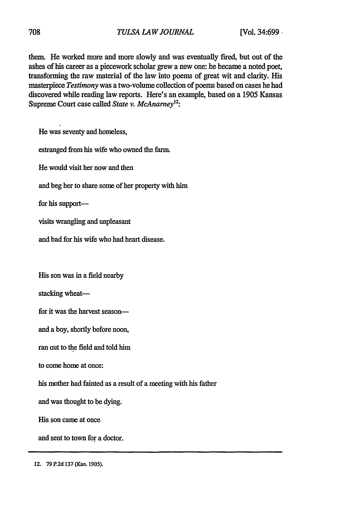them. He worked more and more slowly and was eventually fired, but out of the ashes of his career as a piecework scholar grew a new one: he became a noted poet, transforming the raw material of the law into poems of great wit and clarity. His masterpiece *Testimony* was a two-volume collection of poems based on cases he had discovered while reading law reports. Here's an example, based on a 1905 Kansas Supreme Court case called *State v. McAnarney 2:*

He was seventy and homeless,

estranged from his wife who owned the farm.

He would visit her now and then

and beg her to share some of her property with him

for his support-

visits wrangling and unpleasant

and bad for his wife who had heart disease.

His son was in a field nearby

stacking wheat-

for it was the harvest season-

and a boy, shortly before noon,

ran out to the field and told him

to come home at once:

his mother had fainted as a result of a meeting with his father

and was thought to be dying.

His son came at once

and sent to town for a doctor.

**<sup>12. 79</sup> P.2d 137 (Kan. 1905).**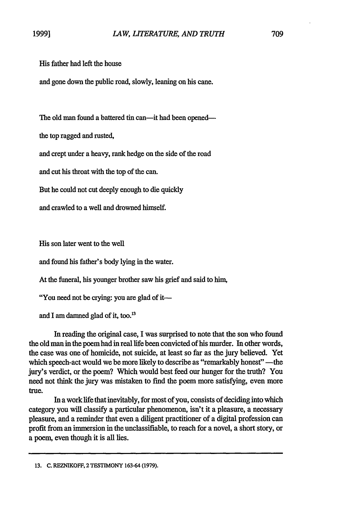His father had left the house

and gone down the public road, slowly, leaning on his cane.

The old man found a battered tin can—it had been opened—

the top ragged and rusted,

and crept under a heavy, rank hedge on the side of the road

and cut his throat with the top of the can.

But he could not cut deeply enough to die quickly

and crawled to a well and drowned himself.

His son later went to the well

and found his father's body lying in the water.

At the funeral, his younger brother saw his grief and said to him,

"You need not be crying: you are glad of it-

and I am damned glad of it, too.'<sup>3</sup>

In reading the original case, I was surprised to note that the son who found the old man in the poem had in real life been convicted of his murder. In other words, the case was one of homicide, not suicide, at least so far as the jury believed. Yet which speech-act would we be more likely to describe as "remarkably honest" -- the jury's verdict, or the poem? Which would best feed our hunger for the truth? You need not think the jury was mistaken to find the poem more satisfying, even more true.

In a worklife that inevitably, for most of you, consists of deciding into which category you will classify a particular phenomenon, isn't it a pleasure, a necessary pleasure, and a reminder that even a diligent practitioner of a digital profession can profit from an immersion in the unclassifiable, to reach for a novel, a short story, or a poem, even though it is all lies.

**<sup>13.</sup> C.** REZNIKOFF, **2** TESTIMONY **163-64 (1979).**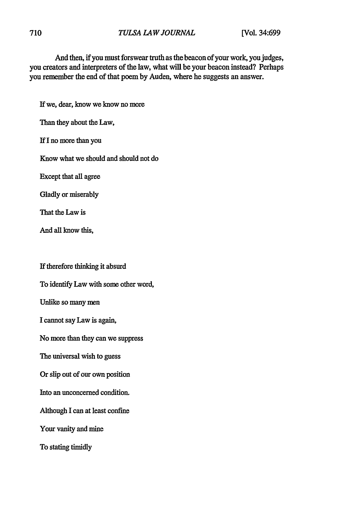## *TULSA LAW JOURVAL* **710 [Vol. 34:699**

And then, if you must forswear truth as the beacon of your work, you judges, you creators and interpreters of the law, what will be your beacon instead? Perhaps you remember the end of that poem by Auden, where he suggests an answer.

If we, dear, know we know no more

Than they about the Law,

**If** I no more than you

Know what we should and should not do

Except that all agree

Gladly or miserably

That the Law is

And all know this,

If therefore thinking it absurd

To identify Law with some other word,

Unlike so many men

I cannot say Law is again,

No more than they can we suppress

The universal wish to guess

Or slip out of our own position

Into an unconcerned condition.

Although I can at least confine

Your vanity and mine

To stating timidly